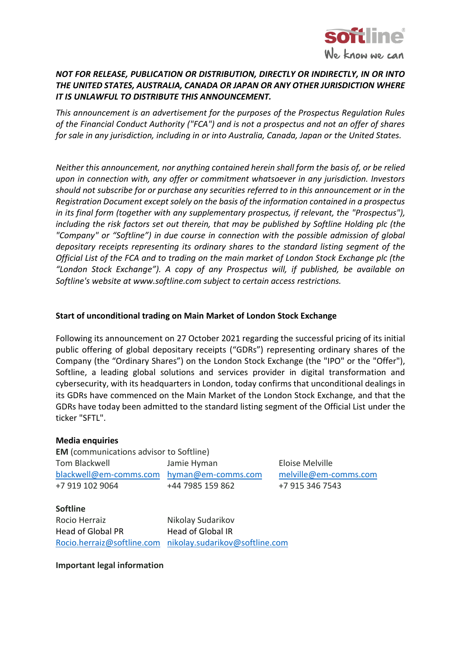

## *NOT FOR RELEASE, PUBLICATION OR DISTRIBUTION, DIRECTLY OR INDIRECTLY, IN OR INTO THE UNITED STATES, AUSTRALIA, CANADA OR JAPAN OR ANY OTHER JURISDICTION WHERE IT IS UNLAWFUL TO DISTRIBUTE THIS ANNOUNCEMENT.*

*This announcement is an advertisement for the purposes of the Prospectus Regulation Rules of the Financial Conduct Authority ("FCA") and is not a prospectus and not an offer of shares for sale in any jurisdiction, including in or into Australia, Canada, Japan or the United States.* 

*Neither this announcement, nor anything contained herein shall form the basis of, or be relied upon in connection with, any offer or commitment whatsoever in any jurisdiction. Investors should not subscribe for or purchase any securities referred to in this announcement or in the Registration Document except solely on the basis of the information contained in a prospectus in its final form (together with any supplementary prospectus, if relevant, the "Prospectus"), including the risk factors set out therein, that may be published by Softline Holding plc (the "Company" or "Softline") in due course in connection with the possible admission of global depositary receipts representing its ordinary shares to the standard listing segment of the Official List of the FCA and to trading on the main market of London Stock Exchange plc (the "London Stock Exchange"). A copy of any Prospectus will, if published, be available on Softline's website at www.softline.com subject to certain access restrictions.*

## **Start of unconditional trading on Main Market of London Stock Exchange**

Following its announcement on 27 October 2021 regarding the successful pricing of its initial public offering of global depositary receipts ("GDRs") representing ordinary shares of the Company (the "Ordinary Shares") on the London Stock Exchange (the "IPO" or the "Offer"), Softline, a leading global solutions and services provider in digital transformation and cybersecurity, with its headquarters in London, today confirms that unconditional dealings in its GDRs have commenced on the Main Market of the London Stock Exchange, and that the GDRs have today been admitted to the standard listing segment of the Official List under the ticker "SFTL".

## **Media enquiries**

**EM** (communications advisor to Softline) Tom Blackwell Jamie Hyman Eloise Melville [blackwell@em-comms.com](mailto:blackwell@em-comms.com) [hyman@em-comms.com](mailto:hyman@em-comms.com) [melville@em-comms.com](mailto:melville@em-comms.com) +7 919 102 9064 +44 7985 159 862 +7 915 346 7543

## **Softline**

Rocio Herraiz Nikolay Sudarikov Head of Global PR Head of Global IR

[Rocio.herraiz@softline.com](mailto:Rocio.herraiz@softline.com) [nikolay.sudarikov@softline.com](mailto:nikolay.sudarikov@softline.com)

**Important legal information**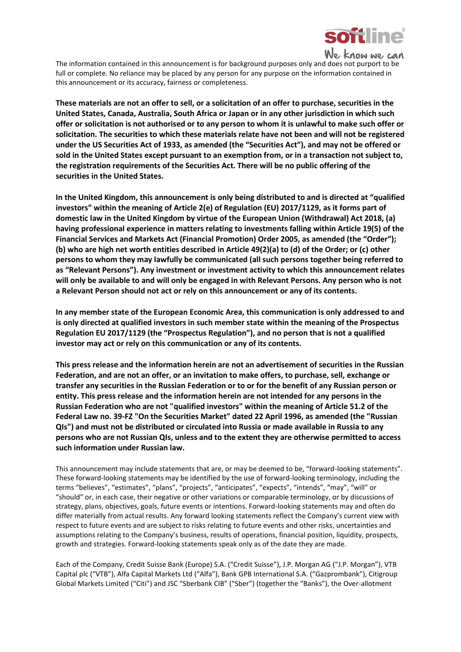

We know we can

The information contained in this announcement is for background purposes only and does not purport to be full or complete. No reliance may be placed by any person for any purpose on the information contained in this announcement or its accuracy, fairness or completeness.

**These materials are not an offer to sell, or a solicitation of an offer to purchase, securities in the United States, Canada, Australia, South Africa or Japan or in any other jurisdiction in which such offer or solicitation is not authorised or to any person to whom it is unlawful to make such offer or solicitation. The securities to which these materials relate have not been and will not be registered under the US Securities Act of 1933, as amended (the "Securities Act"), and may not be offered or sold in the United States except pursuant to an exemption from, or in a transaction not subject to, the registration requirements of the Securities Act. There will be no public offering of the securities in the United States.**

**In the United Kingdom, this announcement is only being distributed to and is directed at "qualified investors" within the meaning of Article 2(e) of Regulation (EU) 2017/1129, as it forms part of domestic law in the United Kingdom by virtue of the European Union (Withdrawal) Act 2018, (a) having professional experience in matters relating to investments falling within Article 19(5) of the Financial Services and Markets Act (Financial Promotion) Order 2005, as amended (the "Order"); (b) who are high net worth entities described in Article 49(2)(a) to (d) of the Order; or (c) other persons to whom they may lawfully be communicated (all such persons together being referred to as "Relevant Persons"). Any investment or investment activity to which this announcement relates will only be available to and will only be engaged in with Relevant Persons. Any person who is not a Relevant Person should not act or rely on this announcement or any of its contents.**

**In any member state of the European Economic Area, this communication is only addressed to and is only directed at qualified investors in such member state within the meaning of the Prospectus Regulation EU 2017/1129 (the "Prospectus Regulation"), and no person that is not a qualified investor may act or rely on this communication or any of its contents.**

**This press release and the information herein are not an advertisement of securities in the Russian Federation, and are not an offer, or an invitation to make offers, to purchase, sell, exchange or transfer any securities in the Russian Federation or to or for the benefit of any Russian person or entity. This press release and the information herein are not intended for any persons in the Russian Federation who are not "qualified investors" within the meaning of Article 51.2 of the Federal Law no. 39-FZ "On the Securities Market" dated 22 April 1996, as amended (the "Russian QIs") and must not be distributed or circulated into Russia or made available in Russia to any persons who are not Russian QIs, unless and to the extent they are otherwise permitted to access such information under Russian law.**

This announcement may include statements that are, or may be deemed to be, "forward-looking statements". These forward-looking statements may be identified by the use of forward-looking terminology, including the terms "believes", "estimates", "plans", "projects", "anticipates", "expects", "intends", "may", "will" or "should" or, in each case, their negative or other variations or comparable terminology, or by discussions of strategy, plans, objectives, goals, future events or intentions. Forward-looking statements may and often do differ materially from actual results. Any forward looking statements reflect the Company's current view with respect to future events and are subject to risks relating to future events and other risks, uncertainties and assumptions relating to the Company's business, results of operations, financial position, liquidity, prospects, growth and strategies. Forward-looking statements speak only as of the date they are made.

Each of the Company, Credit Suisse Bank (Europe) S.A. ("Credit Suisse"), J.P. Morgan AG ("J.P. Morgan"), VTB Capital plc ("VTB"), Alfa Capital Markets Ltd ("Alfa"), Bank GPB International S.A. ("Gazprombank"), Citigroup Global Markets Limited ("Citi") and JSC "Sberbank CIB" ("Sber") (together the "Banks"), the Over-allotment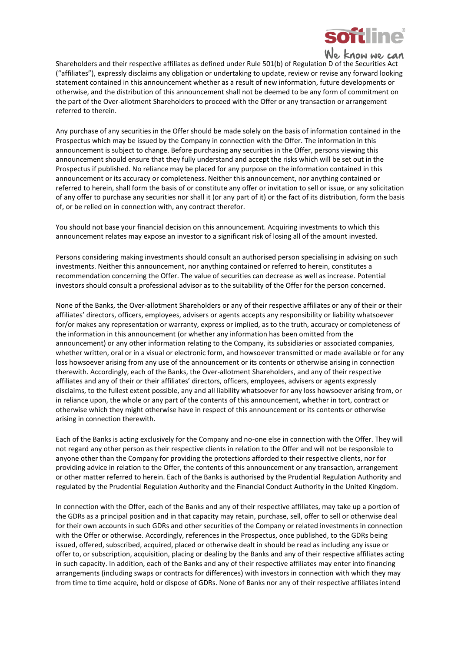

Shareholders and their respective affiliates as defined under Rule 501(b) of Regulation D of the Securities Act ("affiliates"), expressly disclaims any obligation or undertaking to update, review or revise any forward looking statement contained in this announcement whether as a result of new information, future developments or otherwise, and the distribution of this announcement shall not be deemed to be any form of commitment on the part of the Over-allotment Shareholders to proceed with the Offer or any transaction or arrangement referred to therein.

Any purchase of any securities in the Offer should be made solely on the basis of information contained in the Prospectus which may be issued by the Company in connection with the Offer. The information in this announcement is subject to change. Before purchasing any securities in the Offer, persons viewing this announcement should ensure that they fully understand and accept the risks which will be set out in the Prospectus if published. No reliance may be placed for any purpose on the information contained in this announcement or its accuracy or completeness. Neither this announcement, nor anything contained or referred to herein, shall form the basis of or constitute any offer or invitation to sell or issue, or any solicitation of any offer to purchase any securities nor shall it (or any part of it) or the fact of its distribution, form the basis of, or be relied on in connection with, any contract therefor.

You should not base your financial decision on this announcement. Acquiring investments to which this announcement relates may expose an investor to a significant risk of losing all of the amount invested.

Persons considering making investments should consult an authorised person specialising in advising on such investments. Neither this announcement, nor anything contained or referred to herein, constitutes a recommendation concerning the Offer. The value of securities can decrease as well as increase. Potential investors should consult a professional advisor as to the suitability of the Offer for the person concerned.

None of the Banks, the Over-allotment Shareholders or any of their respective affiliates or any of their or their affiliates' directors, officers, employees, advisers or agents accepts any responsibility or liability whatsoever for/or makes any representation or warranty, express or implied, as to the truth, accuracy or completeness of the information in this announcement (or whether any information has been omitted from the announcement) or any other information relating to the Company, its subsidiaries or associated companies, whether written, oral or in a visual or electronic form, and howsoever transmitted or made available or for any loss howsoever arising from any use of the announcement or its contents or otherwise arising in connection therewith. Accordingly, each of the Banks, the Over-allotment Shareholders, and any of their respective affiliates and any of their or their affiliates' directors, officers, employees, advisers or agents expressly disclaims, to the fullest extent possible, any and all liability whatsoever for any loss howsoever arising from, or in reliance upon, the whole or any part of the contents of this announcement, whether in tort, contract or otherwise which they might otherwise have in respect of this announcement or its contents or otherwise arising in connection therewith.

Each of the Banks is acting exclusively for the Company and no-one else in connection with the Offer. They will not regard any other person as their respective clients in relation to the Offer and will not be responsible to anyone other than the Company for providing the protections afforded to their respective clients, nor for providing advice in relation to the Offer, the contents of this announcement or any transaction, arrangement or other matter referred to herein. Each of the Banks is authorised by the Prudential Regulation Authority and regulated by the Prudential Regulation Authority and the Financial Conduct Authority in the United Kingdom.

In connection with the Offer, each of the Banks and any of their respective affiliates, may take up a portion of the GDRs as a principal position and in that capacity may retain, purchase, sell, offer to sell or otherwise deal for their own accounts in such GDRs and other securities of the Company or related investments in connection with the Offer or otherwise. Accordingly, references in the Prospectus, once published, to the GDRs being issued, offered, subscribed, acquired, placed or otherwise dealt in should be read as including any issue or offer to, or subscription, acquisition, placing or dealing by the Banks and any of their respective affiliates acting in such capacity. In addition, each of the Banks and any of their respective affiliates may enter into financing arrangements (including swaps or contracts for differences) with investors in connection with which they may from time to time acquire, hold or dispose of GDRs. None of Banks nor any of their respective affiliates intend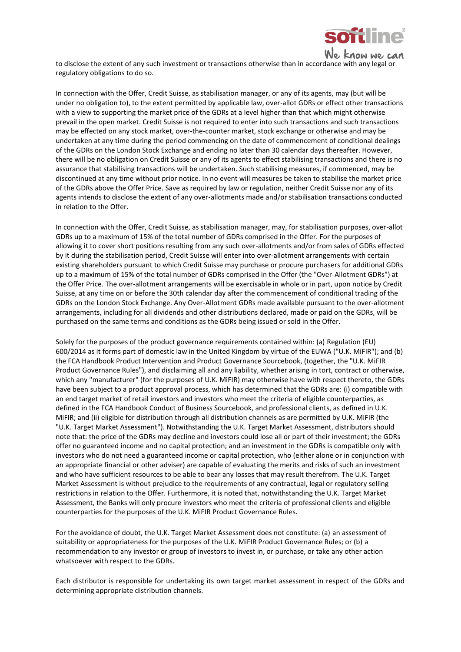

know we can

to disclose the extent of any such investment or transactions otherwise than in accordance with any legal or regulatory obligations to do so.

In connection with the Offer, Credit Suisse, as stabilisation manager, or any of its agents, may (but will be under no obligation to), to the extent permitted by applicable law, over-allot GDRs or effect other transactions with a view to supporting the market price of the GDRs at a level higher than that which might otherwise prevail in the open market. Credit Suisse is not required to enter into such transactions and such transactions may be effected on any stock market, over-the-counter market, stock exchange or otherwise and may be undertaken at any time during the period commencing on the date of commencement of conditional dealings of the GDRs on the London Stock Exchange and ending no later than 30 calendar days thereafter. However, there will be no obligation on Credit Suisse or any of its agents to effect stabilising transactions and there is no assurance that stabilising transactions will be undertaken. Such stabilising measures, if commenced, may be discontinued at any time without prior notice. In no event will measures be taken to stabilise the market price of the GDRs above the Offer Price. Save as required by law or regulation, neither Credit Suisse nor any of its agents intends to disclose the extent of any over-allotments made and/or stabilisation transactions conducted in relation to the Offer.

In connection with the Offer, Credit Suisse, as stabilisation manager, may, for stabilisation purposes, over-allot GDRs up to a maximum of 15% of the total number of GDRs comprised in the Offer. For the purposes of allowing it to cover short positions resulting from any such over-allotments and/or from sales of GDRs effected by it during the stabilisation period, Credit Suisse will enter into over-allotment arrangements with certain existing shareholders pursuant to which Credit Suisse may purchase or procure purchasers for additional GDRs up to a maximum of 15% of the total number of GDRs comprised in the Offer (the "Over-Allotment GDRs") at the Offer Price. The over-allotment arrangements will be exercisable in whole or in part, upon notice by Credit Suisse, at any time on or before the 30th calendar day after the commencement of conditional trading of the GDRs on the London Stock Exchange. Any Over-Allotment GDRs made available pursuant to the over-allotment arrangements, including for all dividends and other distributions declared, made or paid on the GDRs, will be purchased on the same terms and conditions as the GDRs being issued or sold in the Offer.

Solely for the purposes of the product governance requirements contained within: (a) Regulation (EU) 600/2014 as it forms part of domestic law in the United Kingdom by virtue of the EUWA ("U.K. MiFIR"); and (b) the FCA Handbook Product Intervention and Product Governance Sourcebook, (together, the "U.K. MiFIR Product Governance Rules"), and disclaiming all and any liability, whether arising in tort, contract or otherwise, which any "manufacturer" (for the purposes of U.K. MiFIR) may otherwise have with respect thereto, the GDRs have been subject to a product approval process, which has determined that the GDRs are: (i) compatible with an end target market of retail investors and investors who meet the criteria of eligible counterparties, as defined in the FCA Handbook Conduct of Business Sourcebook, and professional clients, as defined in U.K. MiFIR; and (ii) eligible for distribution through all distribution channels as are permitted by U.K. MiFIR (the "U.K. Target Market Assessment"). Notwithstanding the U.K. Target Market Assessment, distributors should note that: the price of the GDRs may decline and investors could lose all or part of their investment; the GDRs offer no guaranteed income and no capital protection; and an investment in the GDRs is compatible only with investors who do not need a guaranteed income or capital protection, who (either alone or in conjunction with an appropriate financial or other adviser) are capable of evaluating the merits and risks of such an investment and who have sufficient resources to be able to bear any losses that may result therefrom. The U.K. Target Market Assessment is without prejudice to the requirements of any contractual, legal or regulatory selling restrictions in relation to the Offer. Furthermore, it is noted that, notwithstanding the U.K. Target Market Assessment, the Banks will only procure investors who meet the criteria of professional clients and eligible counterparties for the purposes of the U.K. MiFIR Product Governance Rules.

For the avoidance of doubt, the U.K. Target Market Assessment does not constitute: (a) an assessment of suitability or appropriateness for the purposes of the U.K. MiFIR Product Governance Rules; or (b) a recommendation to any investor or group of investors to invest in, or purchase, or take any other action whatsoever with respect to the GDRs.

Each distributor is responsible for undertaking its own target market assessment in respect of the GDRs and determining appropriate distribution channels.